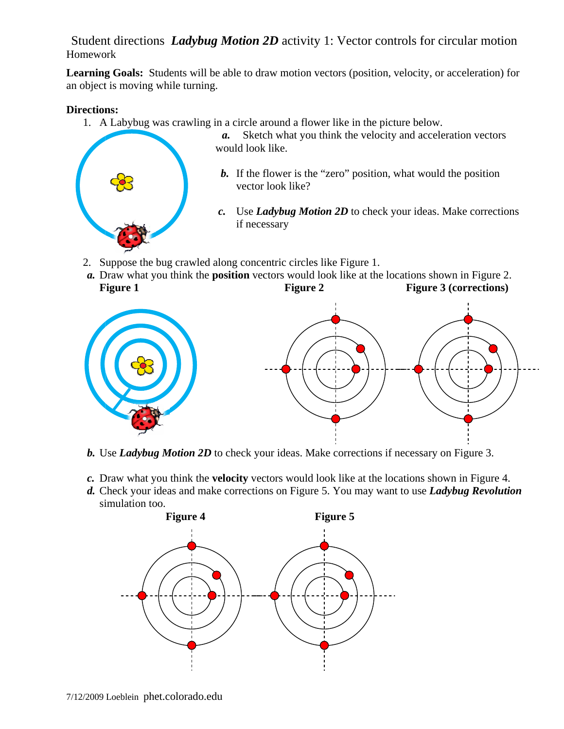Student directions *Ladybug Motion 2D* activity 1: Vector controls for circular motion Homework

Learning Goals: Students will be able to draw motion vectors (position, velocity, or acceleration) for an object is moving while turning.

## **Directions:**

1. A Labybug was crawling in a circle around a flower like in the picture below.



- a. Sketch what you think the velocity and acceleration vectors would look like.
- **b.** If the flower is the "zero" position, what would the position vector look like?
- c. Use *Ladybug Motion 2D* to check your ideas. Make corrections if necessary
- 2. Suppose the bug crawled along concentric circles like Figure 1.
- a. Draw what you think the **position** vectors would look like at the locations shown in Figure 2. **F Figure 1 Figure 2 Figure 3 (corrections)**



- **b.** Use *Ladybug Motion 2D* to check your ideas. Make corrections if necessary on Figure 3.
- c. Draw what you think the velocity vectors would look like at the locations shown in Figure 4.
- d. Check your ideas and make corrections on Figure 5. You may want to use *Ladybug Revolution* simulation too.